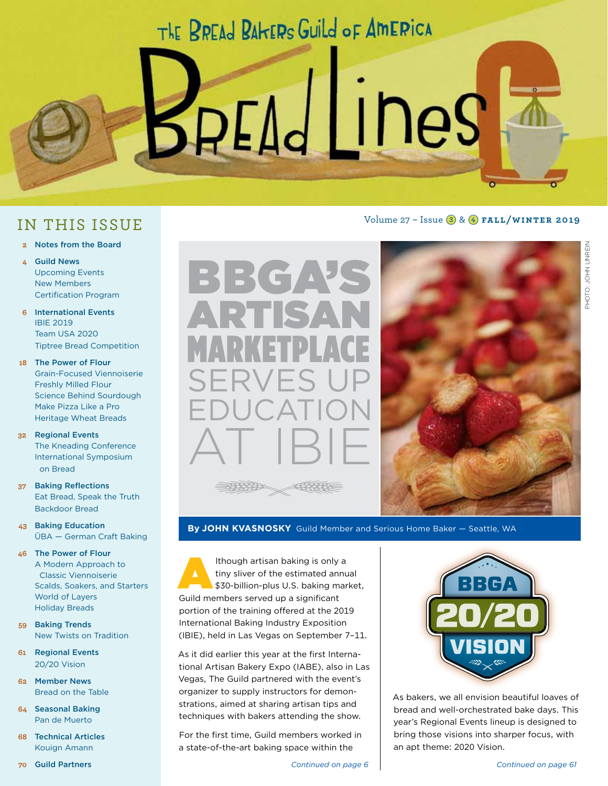## THE BREAD BAHERS GUILD OF AMERICA

BAEAd LINeS

Volume 27 – Issue 3 & 4 **fall/winter 2019**

### IN THIS ISSUE

- **2** Notes from the Board
- **4** Guild News Upcoming Events New Members Certification Program
- **6** International Events IBIE 2019 Team USA 2020 Tiptree Bread Competition
- **18** The Power of Flour Grain-Focused Viennoiserie Freshly Milled Flour Science Behind Sourdough Make Pizza Like a Pro Heritage Wheat Breads
- **32** Regional Events The Kneading Conference International Symposium on Bread
- **37** Baking Reflections Eat Bread, Speak the Truth Backdoor Bread
- **43** Baking Education ÜBA — German Craft Baking
- **46** The Power of Flour A Modern Approach to Classic Viennoiserie Scalds, Soakers, and Starters World of Layers Holiday Breads
- **59** Baking Trends New Twists on Tradition
- **61** Regional Events 20/20 Vision
- **62** Member News Bread on the Table
- **64** Seasonal Baking Pan de Muerto
- **68** Technical Articles Kouign Amann



BBGAYS

ARTISAN

MARKETPLACE

SERVES UP

As it did earlier this year at the first International Artisan Bakery Expo (IABE), also in Las Vegas, The Guild partnered with the event's organizer to supply instructors for demonstrations, aimed at sharing artisan tips and techniques with bakers attending the show.

For the first time, Guild members worked in a state-of-the-art baking space within the



As bakers, we all envision beautiful loaves of bread and well-orchestrated bake days. This year's Regional Events lineup is designed to bring those visions into sharper focus, with an apt theme: 2020 Vision.

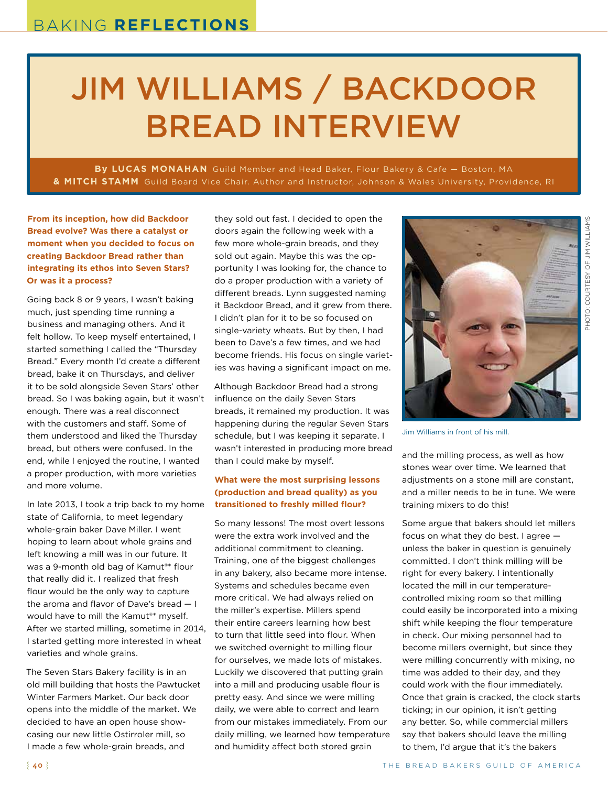# JIM WILLIAMS / BACKDOOR BREAD INTERVIEW

**By LUCAS MONAHAN** Guild Member and Head Baker, Flour Bakery & Cafe — Boston, MA **& MITCH STAMM** Guild Board Vice Chair. Author and Instructor, Johnson & Wales University, Providence, RI

**From its inception, how did Backdoor Bread evolve? Was there a catalyst or moment when you decided to focus on creating Backdoor Bread rather than integrating its ethos into Seven Stars? Or was it a process?**

Going back 8 or 9 years, I wasn't baking much, just spending time running a business and managing others. And it felt hollow. To keep myself entertained, I started something I called the "Thursday Bread." Every month I'd create a different bread, bake it on Thursdays, and deliver it to be sold alongside Seven Stars' other bread. So I was baking again, but it wasn't enough. There was a real disconnect with the customers and staff. Some of them understood and liked the Thursday bread, but others were confused. In the end, while I enjoyed the routine, I wanted a proper production, with more varieties and more volume.

In late 2013, I took a trip back to my home state of California, to meet legendary whole-grain baker Dave Miller. I went hoping to learn about whole grains and left knowing a mill was in our future. It was a 9-month old bag of Kamut<sup>®\*</sup> flour that really did it. I realized that fresh flour would be the only way to capture the aroma and flavor of Dave's bread — I would have to mill the Kamut®\* myself. After we started milling, sometime in 2014, I started getting more interested in wheat varieties and whole grains.

The Seven Stars Bakery facility is in an old mill building that hosts the Pawtucket Winter Farmers Market. Our back door opens into the middle of the market. We decided to have an open house showcasing our new little Ostirroler mill, so I made a few whole-grain breads, and

they sold out fast. I decided to open the doors again the following week with a few more whole-grain breads, and they sold out again. Maybe this was the opportunity I was looking for, the chance to do a proper production with a variety of different breads. Lynn suggested naming it Backdoor Bread, and it grew from there. I didn't plan for it to be so focused on single-variety wheats. But by then, I had been to Dave's a few times, and we had become friends. His focus on single varieties was having a significant impact on me.

Although Backdoor Bread had a strong influence on the daily Seven Stars breads, it remained my production. It was happening during the regular Seven Stars schedule, but I was keeping it separate. I wasn't interested in producing more bread than I could make by myself.

#### **What were the most surprising lessons (production and bread quality) as you transitioned to freshly milled flour?**

So many lessons! The most overt lessons were the extra work involved and the additional commitment to cleaning. Training, one of the biggest challenges in any bakery, also became more intense. Systems and schedules became even more critical. We had always relied on the miller's expertise. Millers spend their entire careers learning how best to turn that little seed into flour. When we switched overnight to milling flour for ourselves, we made lots of mistakes. Luckily we discovered that putting grain into a mill and producing usable flour is pretty easy. And since we were milling daily, we were able to correct and learn from our mistakes immediately. From our daily milling, we learned how temperature and humidity affect both stored grain



Jim Williams in front of his mill.

and the milling process, as well as how stones wear over time. We learned that adiustments on a stone mill are constant. and a miller needs to be in tune. We were training mixers to do this!

Some argue that bakers should let millers focus on what they do best. I agree unless the baker in question is genuinely committed. I don't think milling will be right for every bakery. I intentionally located the mill in our temperaturecontrolled mixing room so that milling could easily be incorporated into a mixing shift while keeping the flour temperature in check. Our mixing personnel had to become millers overnight, but since they were milling concurrently with mixing, no time was added to their day, and they could work with the flour immediately. Once that grain is cracked, the clock starts ticking; in our opinion, it isn't getting any better. So, while commercial millers say that bakers should leave the milling to them, I'd argue that it's the bakers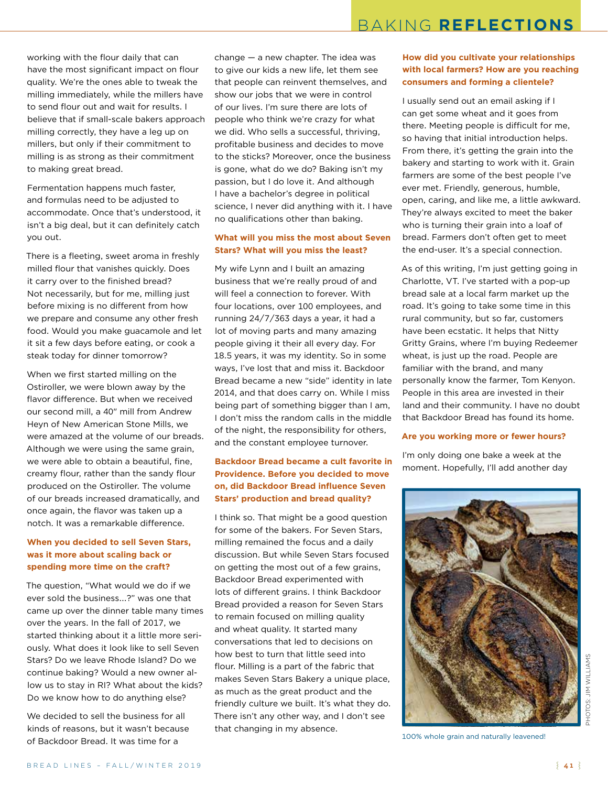working with the flour daily that can have the most significant impact on flour quality. We're the ones able to tweak the milling immediately, while the millers have to send flour out and wait for results. I believe that if small-scale bakers approach milling correctly, they have a leg up on millers, but only if their commitment to milling is as strong as their commitment to making great bread.

Fermentation happens much faster, and formulas need to be adjusted to accommodate. Once that's understood, it isn't a big deal, but it can definitely catch you out.

There is a fleeting, sweet aroma in freshly milled flour that vanishes quickly. Does it carry over to the finished bread? Not necessarily, but for me, milling just before mixing is no different from how we prepare and consume any other fresh food. Would you make guacamole and let it sit a few days before eating, or cook a steak today for dinner tomorrow?

When we first started milling on the Ostiroller, we were blown away by the flavor difference. But when we received our second mill, a 40" mill from Andrew Heyn of New American Stone Mills, we were amazed at the volume of our breads. Although we were using the same grain, we were able to obtain a beautiful, fine, creamy flour, rather than the sandy flour produced on the Ostiroller. The volume of our breads increased dramatically, and once again, the flavor was taken up a notch. It was a remarkable difference.

#### **When you decided to sell Seven Stars, was it more about scaling back or spending more time on the craft?**

The question, "What would we do if we ever sold the business...?" was one that came up over the dinner table many times over the years. In the fall of 2017, we started thinking about it a little more seriously. What does it look like to sell Seven Stars? Do we leave Rhode Island? Do we continue baking? Would a new owner allow us to stay in RI? What about the kids? Do we know how to do anything else?

We decided to sell the business for all kinds of reasons, but it wasn't because of Backdoor Bread. It was time for a

change — a new chapter. The idea was to give our kids a new life, let them see that people can reinvent themselves, and show our jobs that we were in control of our lives. I'm sure there are lots of people who think we're crazy for what we did. Who sells a successful, thriving, profitable business and decides to move to the sticks? Moreover, once the business is gone, what do we do? Baking isn't my passion, but I do love it. And although I have a bachelor's degree in political science, I never did anything with it. I have no qualifications other than baking.

#### **What will you miss the most about Seven Stars? What will you miss the least?**

My wife Lynn and I built an amazing business that we're really proud of and will feel a connection to forever. With four locations, over 100 employees, and running 24/7/363 days a year, it had a lot of moving parts and many amazing people giving it their all every day. For 18.5 years, it was my identity. So in some ways, I've lost that and miss it. Backdoor Bread became a new "side" identity in late 2014, and that does carry on. While I miss being part of something bigger than I am, I don't miss the random calls in the middle of the night, the responsibility for others, and the constant employee turnover.

#### **Backdoor Bread became a cult favorite in Providence. Before you decided to move on, did Backdoor Bread influence Seven Stars' production and bread quality?**

I think so. That might be a good question for some of the bakers. For Seven Stars, milling remained the focus and a daily discussion. But while Seven Stars focused on getting the most out of a few grains, Backdoor Bread experimented with lots of different grains. I think Backdoor Bread provided a reason for Seven Stars to remain focused on milling quality and wheat quality. It started many conversations that led to decisions on how best to turn that little seed into flour. Milling is a part of the fabric that makes Seven Stars Bakery a unique place, as much as the great product and the friendly culture we built. It's what they do. There isn't any other way, and I don't see that changing in my absence.

#### **How did you cultivate your relationships with local farmers? How are you reaching consumers and forming a clientele?**

I usually send out an email asking if I can get some wheat and it goes from there. Meeting people is difficult for me, so having that initial introduction helps. From there, it's getting the grain into the bakery and starting to work with it. Grain farmers are some of the best people I've ever met. Friendly, generous, humble, open, caring, and like me, a little awkward. They're always excited to meet the baker who is turning their grain into a loaf of bread. Farmers don't often get to meet the end-user. It's a special connection.

As of this writing, I'm just getting going in Charlotte, VT. I've started with a pop-up bread sale at a local farm market up the road. It's going to take some time in this rural community, but so far, customers have been ecstatic. It helps that Nitty Gritty Grains, where I'm buying Redeemer wheat, is just up the road. People are familiar with the brand, and many personally know the farmer, Tom Kenyon. People in this area are invested in their land and their community. I have no doubt that Backdoor Bread has found its home.

#### **Are you working more or fewer hours?**

I'm only doing one bake a week at the moment. Hopefully, I'll add another day



**JIM WILLIAMS** PHOTOS: JIM WILLIAMS.ö

100% whole grain and naturally leavened!